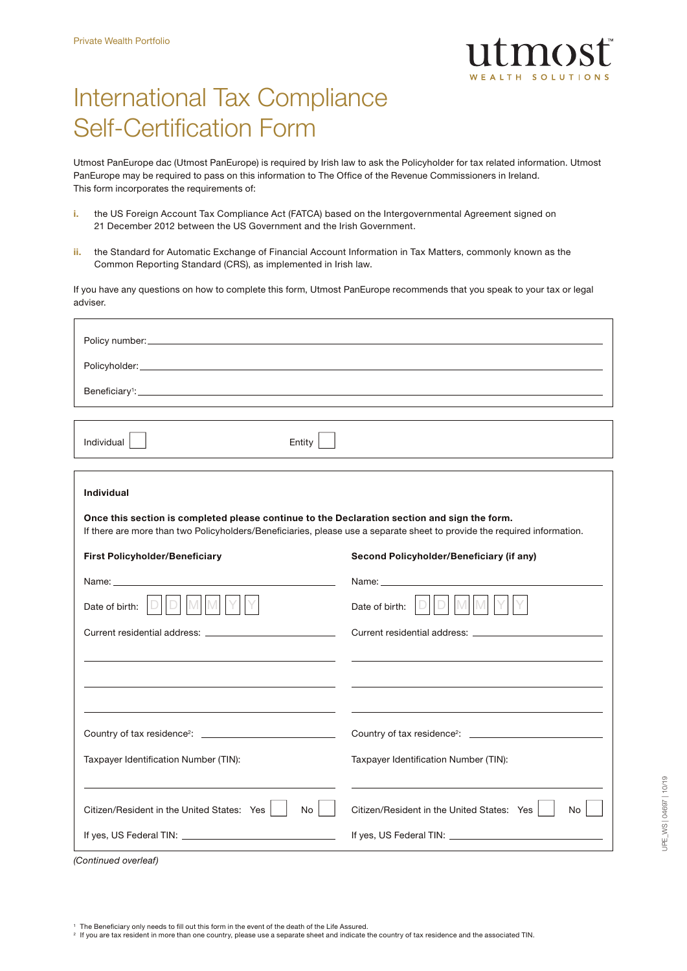

# International Tax Compliance Self-Certification Form

Utmost PanEurope dac (Utmost PanEurope) is required by Irish law to ask the Policyholder for tax related information. Utmost PanEurope may be required to pass on this information to The Office of the Revenue Commissioners in Ireland. This form incorporates the requirements of:

- i. the US Foreign Account Tax Compliance Act (FATCA) based on the Intergovernmental Agreement signed on 21 December 2012 between the US Government and the Irish Government.
- ii. the Standard for Automatic Exchange of Financial Account Information in Tax Matters, commonly known as the Common Reporting Standard (CRS), as implemented in Irish law.

If you have any questions on how to complete this form, Utmost PanEurope recommends that you speak to your tax or legal adviser.

| Individual $ $<br>Entity                                                                                                                                                                                                      |                                                  |
|-------------------------------------------------------------------------------------------------------------------------------------------------------------------------------------------------------------------------------|--------------------------------------------------|
|                                                                                                                                                                                                                               |                                                  |
| <b>Individual</b>                                                                                                                                                                                                             |                                                  |
| Once this section is completed please continue to the Declaration section and sign the form.<br>If there are more than two Policyholders/Beneficiaries, please use a separate sheet to provide the required information.      |                                                  |
| <b>First Policyholder/Beneficiary</b>                                                                                                                                                                                         | Second Policyholder/Beneficiary (if any)         |
| Name: Name: Name: Name: Name: Name: Name: Name: Name: Name: Name: Name: Name: Name: Name: Name: Name: Name: Name: Name: Name: Name: Name: Name: Name: Name: Name: Name: Name: Name: Name: Name: Name: Name: Name: Name: Name: |                                                  |
| D M M Y Y<br>Date of birth: $\Box$                                                                                                                                                                                            | D M M<br>Date of birth: $ D $                    |
|                                                                                                                                                                                                                               |                                                  |
|                                                                                                                                                                                                                               |                                                  |
|                                                                                                                                                                                                                               |                                                  |
|                                                                                                                                                                                                                               |                                                  |
| Taxpayer Identification Number (TIN):                                                                                                                                                                                         | Taxpayer Identification Number (TIN):            |
|                                                                                                                                                                                                                               |                                                  |
| Citizen/Resident in the United States: Yes<br>No                                                                                                                                                                              | Citizen/Resident in the United States: Yes<br>No |
|                                                                                                                                                                                                                               |                                                  |

UPE\_WS | 04697 | 10/19

JPE\_WS | 04697 | 10/19

*(Continued overleaf)*

<sup>2</sup> If you are tax resident in more than one country, please use a separate sheet and indicate the country of tax residence and the associated TIN.

<sup>1</sup> The Beneficiary only needs to fill out this form in the event of the death of the Life Assured.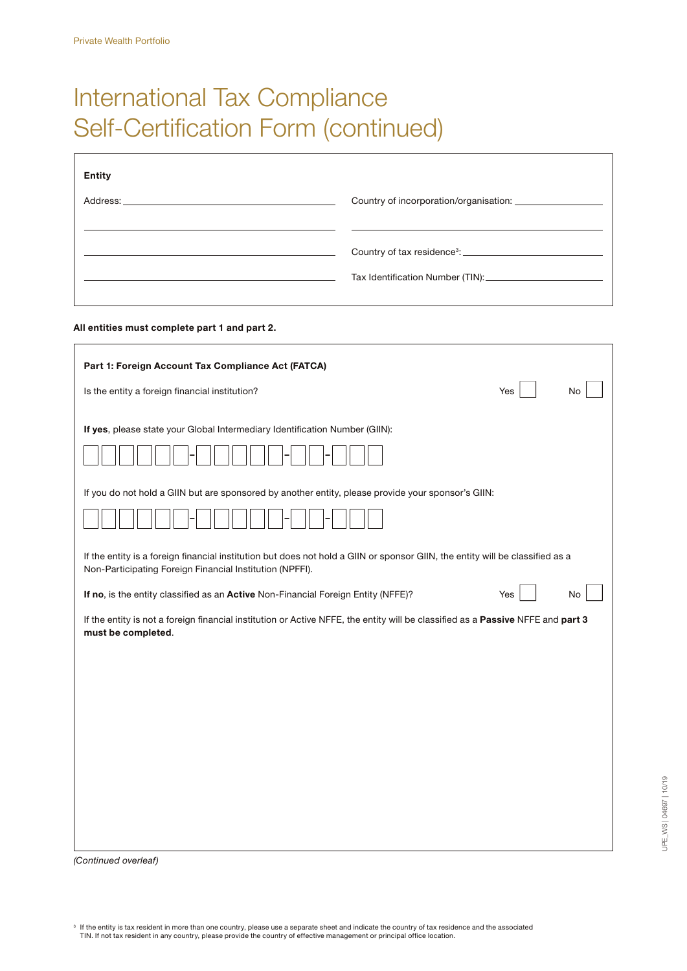# International Tax Compliance Self-Certification Form (continued)

| <b>Entity</b> |                                                                                 |
|---------------|---------------------------------------------------------------------------------|
|               |                                                                                 |
|               |                                                                                 |
|               | Country of tax residence <sup>3</sup> : <u>________________________________</u> |
|               |                                                                                 |

### All entities must complete part 1 and part 2.

| Part 1: Foreign Account Tax Compliance Act (FATCA)<br>Is the entity a foreign financial institution?                                                  | Yes | No |
|-------------------------------------------------------------------------------------------------------------------------------------------------------|-----|----|
| If yes, please state your Global Intermediary Identification Number (GIIN):                                                                           |     |    |
| If you do not hold a GIIN but are sponsored by another entity, please provide your sponsor's GIIN:                                                    |     |    |
| If the entity is a foreign financial institution but does not hold a GIIN or sponsor GIIN, the entity will be classified as a                         |     |    |
| Non-Participating Foreign Financial Institution (NPFFI).<br>If no, is the entity classified as an Active Non-Financial Foreign Entity (NFFE)?         | Yes | No |
| If the entity is not a foreign financial institution or Active NFFE, the entity will be classified as a Passive NFFE and part 3<br>must be completed. |     |    |
|                                                                                                                                                       |     |    |
|                                                                                                                                                       |     |    |
|                                                                                                                                                       |     |    |
|                                                                                                                                                       |     |    |

*(Continued overleaf)*

 $^{\rm 3}$  If the entity is tax resident in more than one country, please use a separate sheet and indicate the country of tax residence and the associated<br>TIN. If not tax resident in any country, please provide the country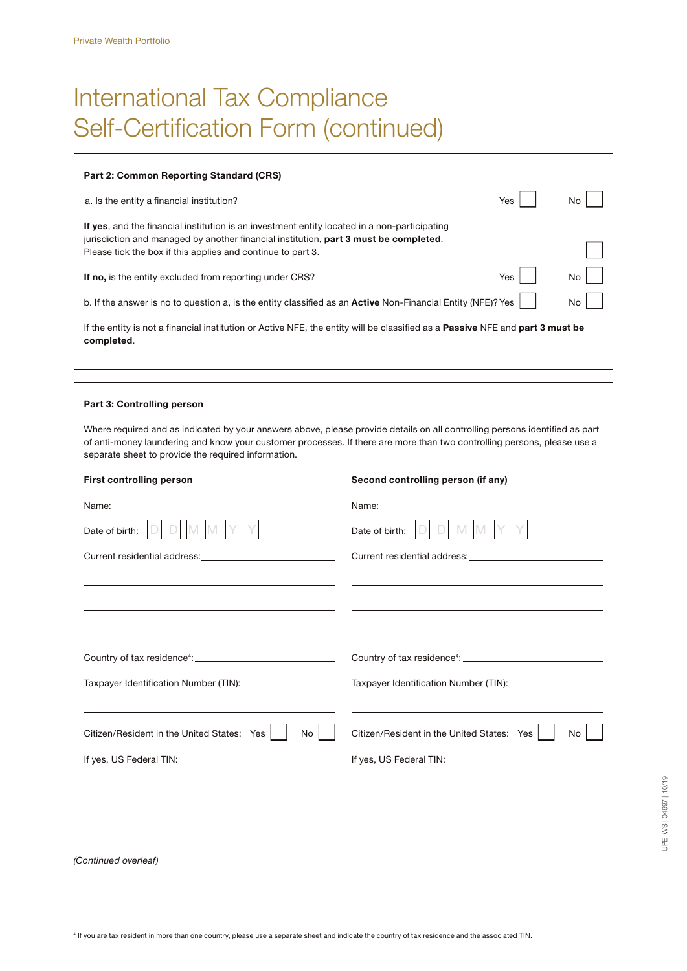# International Tax Compliance Self-Certification Form (continued)

| <b>Part 2: Common Reporting Standard (CRS)</b>                                                                                                                                                                                                      |     |     |
|-----------------------------------------------------------------------------------------------------------------------------------------------------------------------------------------------------------------------------------------------------|-----|-----|
| a. Is the entity a financial institution?                                                                                                                                                                                                           | Yes | No. |
| If yes, and the financial institution is an investment entity located in a non-participating<br>jurisdiction and managed by another financial institution, part 3 must be completed.<br>Please tick the box if this applies and continue to part 3. |     |     |
| If no, is the entity excluded from reporting under CRS?                                                                                                                                                                                             | Yes | No  |
| b. If the answer is no to question a, is the entity classified as an <b>Active</b> Non-Financial Entity (NFE)? Yes                                                                                                                                  |     | No  |
| If the entity is not a financial institution or Active NFE, the entity will be classified as a <b>Passive</b> NFE and <b>part 3 must be</b><br>completed.                                                                                           |     |     |

### Part 3: Controlling person

Where required and as indicated by your answers above, please provide details on all controlling persons identified as part of anti-money laundering and know your customer processes. If there are more than two controlling persons, please use a separate sheet to provide the required information.

| <b>First controlling person</b>                                                                                  | Second controlling person (if any)                                                                               |
|------------------------------------------------------------------------------------------------------------------|------------------------------------------------------------------------------------------------------------------|
|                                                                                                                  |                                                                                                                  |
| Date of birth:                                                                                                   | Date of birth:                                                                                                   |
| Current residential address: Current residential address:                                                        |                                                                                                                  |
|                                                                                                                  |                                                                                                                  |
| and the control of the control of the control of the control of the control of the control of the control of the |                                                                                                                  |
| <u> 1989 - Johann Stoff, amerikansk politiker (* 1908)</u>                                                       | and the control of the control of the control of the control of the control of the control of the control of the |
|                                                                                                                  |                                                                                                                  |
| Taxpayer Identification Number (TIN):                                                                            | Taxpayer Identification Number (TIN):                                                                            |
| the control of the control of the control of the control of the control of the control of                        | the control of the control of the control of the control of the control of the control of                        |
| Citizen/Resident in the United States: Yes<br><b>No</b>                                                          | Citizen/Resident in the United States: Yes<br>No                                                                 |
|                                                                                                                  |                                                                                                                  |
|                                                                                                                  |                                                                                                                  |
|                                                                                                                  |                                                                                                                  |
|                                                                                                                  |                                                                                                                  |
| $\sim$ $\sim$ $\sim$ $\sim$                                                                                      |                                                                                                                  |

*(Continued overleaf)*